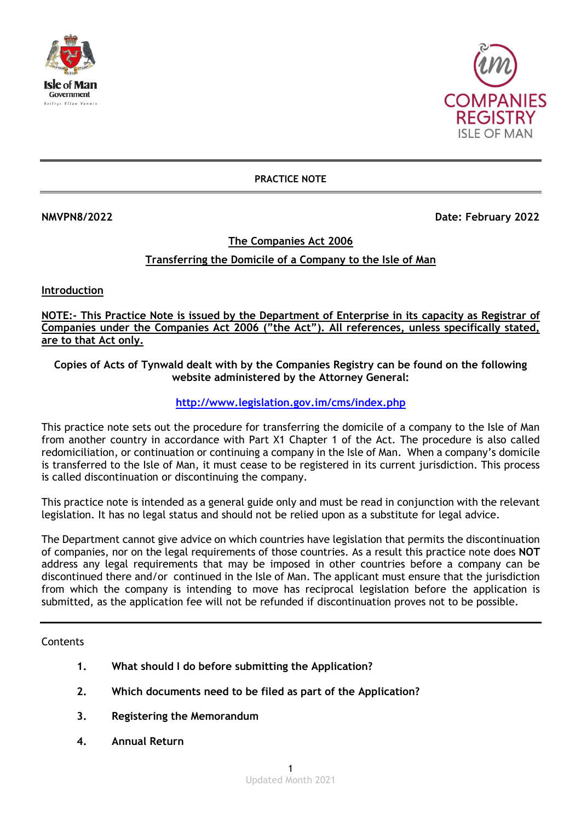



**PRACTICE NOTE**

**NMVPN8/2022 Date: February 2022** 

### **The Companies Act 2006**

# **Transferring the Domicile of a Company to the Isle of Man**

**Introduction**

**NOTE:- This Practice Note is issued by the Department of Enterprise in its capacity as Registrar of Companies under the Companies Act 2006 ("the Act"). All references, unless specifically stated, are to that Act only.**

**Copies of Acts of Tynwald dealt with by the Companies Registry can be found on the following website administered by the Attorney General:**

### **<http://www.legislation.gov.im/cms/index.php>**

This practice note sets out the procedure for transferring the domicile of a company to the Isle of Man from another country in accordance with Part X1 Chapter 1 of the Act. The procedure is also called redomiciliation, or continuation or continuing a company in the Isle of Man. When a company's domicile is transferred to the Isle of Man, it must cease to be registered in its current jurisdiction. This process is called discontinuation or discontinuing the company.

This practice note is intended as a general guide only and must be read in conjunction with the relevant legislation. It has no legal status and should not be relied upon as a substitute for legal advice.

The Department cannot give advice on which countries have legislation that permits the discontinuation of companies, nor on the legal requirements of those countries. As a result this practice note does **NOT** address any legal requirements that may be imposed in other countries before a company can be discontinued there and/or continued in the Isle of Man. The applicant must ensure that the jurisdiction from which the company is intending to move has reciprocal legislation before the application is submitted, as the application fee will not be refunded if discontinuation proves not to be possible.

**Contents** 

- **1. What should I do before submitting the Application?**
- **2. Which documents need to be filed as part of the Application?**
- **3. Registering the Memorandum**
- **4. Annual Return**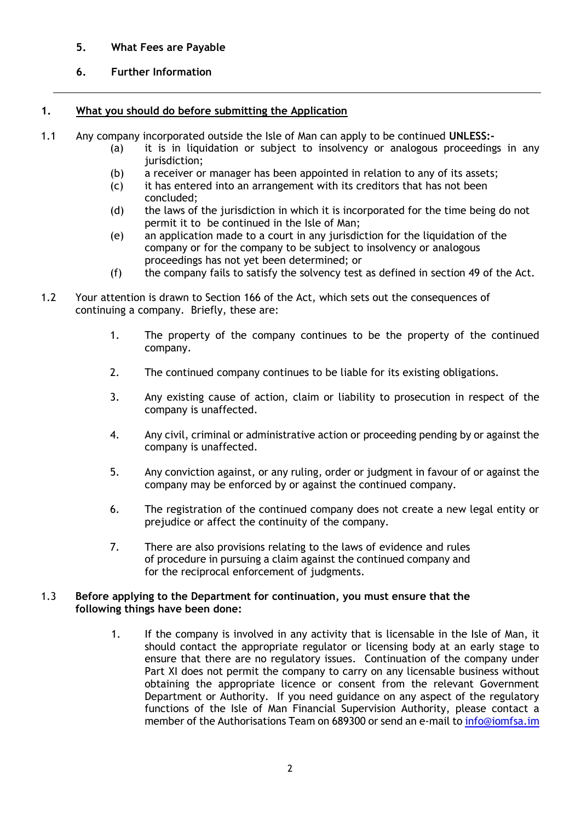## **5. What Fees are Payable**

## **6. Further Information**

### **1. What you should do before submitting the Application**

- 1.1 Any company incorporated outside the Isle of Man can apply to be continued **UNLESS:-**
	- (a) it is in liquidation or subject to insolvency or analogous proceedings in any jurisdiction;
		- (b) a receiver or manager has been appointed in relation to any of its assets;
		- (c) it has entered into an arrangement with its creditors that has not been concluded;
		- (d) the laws of the jurisdiction in which it is incorporated for the time being do not permit it to be continued in the Isle of Man;
		- (e) an application made to a court in any jurisdiction for the liquidation of the company or for the company to be subject to insolvency or analogous proceedings has not yet been determined; or
		- $(f)$  the company fails to satisfy the solvency test as defined in section 49 of the Act.
- 1.2 Your attention is drawn to Section 166 of the Act, which sets out the consequences of continuing a company. Briefly, these are:
	- 1. The property of the company continues to be the property of the continued company.
	- 2. The continued company continues to be liable for its existing obligations.
	- 3. Any existing cause of action, claim or liability to prosecution in respect of the company is unaffected.
	- 4. Any civil, criminal or administrative action or proceeding pending by or against the company is unaffected.
	- 5. Any conviction against, or any ruling, order or judgment in favour of or against the company may be enforced by or against the continued company.
	- 6. The registration of the continued company does not create a new legal entity or prejudice or affect the continuity of the company.
	- 7. There are also provisions relating to the laws of evidence and rules of procedure in pursuing a claim against the continued company and for the reciprocal enforcement of judgments.

#### 1.3 **Before applying to the Department for continuation, you must ensure that the following things have been done:**

1. If the company is involved in any activity that is licensable in the Isle of Man, it should contact the appropriate regulator or licensing body at an early stage to ensure that there are no regulatory issues. Continuation of the company under Part XI does not permit the company to carry on any licensable business without obtaining the appropriate licence or consent from the relevant Government Department or Authority. If you need guidance on any aspect of the regulatory functions of the Isle of Man Financial Supervision Authority, please contact a member of the Authorisations Team on 689300 or send an e-mail t[o info@iomfsa.im](mailto:info@iomfsa.im)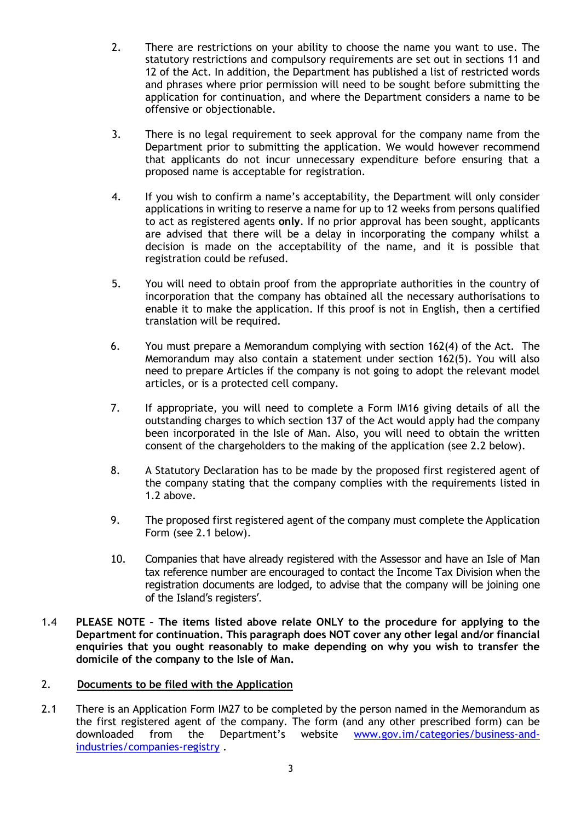- 2. There are restrictions on your ability to choose the name you want to use. The statutory restrictions and compulsory requirements are set out in sections 11 and 12 of the Act. In addition, the Department has published a list of restricted words and phrases where prior permission will need to be sought before submitting the application for continuation, and where the Department considers a name to be offensive or objectionable.
- 3. There is no legal requirement to seek approval for the company name from the Department prior to submitting the application. We would however recommend that applicants do not incur unnecessary expenditure before ensuring that a proposed name is acceptable for registration.
- 4. If you wish to confirm a name's acceptability, the Department will only consider applications in writing to reserve a name for up to 12 weeks from persons qualified to act as registered agents **only**. If no prior approval has been sought, applicants are advised that there will be a delay in incorporating the company whilst a decision is made on the acceptability of the name, and it is possible that registration could be refused.
- 5. You will need to obtain proof from the appropriate authorities in the country of incorporation that the company has obtained all the necessary authorisations to enable it to make the application. If this proof is not in English, then a certified translation will be required.
- 6. You must prepare a Memorandum complying with section 162(4) of the Act. The Memorandum may also contain a statement under section 162(5). You will also need to prepare Articles if the company is not going to adopt the relevant model articles, or is a protected cell company.
- 7. If appropriate, you will need to complete a Form IM16 giving details of all the outstanding charges to which section 137 of the Act would apply had the company been incorporated in the Isle of Man. Also, you will need to obtain the written consent of the chargeholders to the making of the application (see 2.2 below).
- 8. A Statutory Declaration has to be made by the proposed first registered agent of the company stating that the company complies with the requirements listed in 1.2 above.
- 9. The proposed first registered agent of the company must complete the Application Form (see 2.1 below).
- 10. Companies that have already registered with the Assessor and have an Isle of Man tax reference number are encouraged to contact the Income Tax Division when the registration documents are lodged, to advise that the company will be joining one of the Island's registers'.
- 1.4 **PLEASE NOTE – The items listed above relate ONLY to the procedure for applying to the Department for continuation. This paragraph does NOT cover any other legal and/or financial enquiries that you ought reasonably to make depending on why you wish to transfer the domicile of the company to the Isle of Man.**

## 2. **Documents to be filed with the Application**

2.1 There is an Application Form IM27 to be completed by the person named in the Memorandum as the first registered agent of the company. The form (and any other prescribed form) can be downloaded from the Department's website [www.gov.im/categories/business-and](http://www.gov.im/categories/business-and-industries/companies-registry)[industries/companies-registry](http://www.gov.im/categories/business-and-industries/companies-registry) .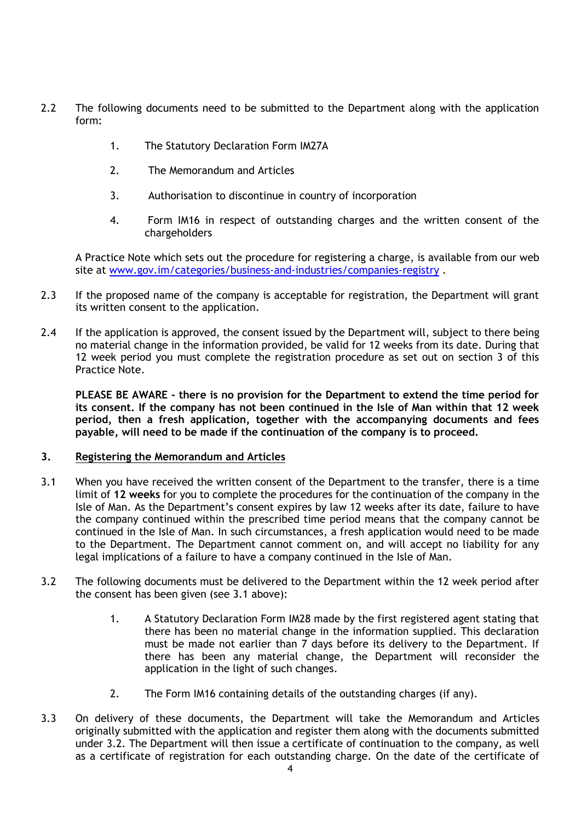- 2.2 The following documents need to be submitted to the Department along with the application form:
	- 1. The Statutory Declaration Form IM27A
	- 2. The Memorandum and Articles
	- 3. Authorisation to discontinue in country of incorporation
	- 4. Form IM16 in respect of outstanding charges and the written consent of the chargeholders

A Practice Note which sets out the procedure for registering a charge, is available from our web site at [www.gov.im/categories/business-and-industries/companies-registry](http://www.gov.im/categories/business-and-industries/companies-registry) .

- 2.3 If the proposed name of the company is acceptable for registration, the Department will grant its written consent to the application.
- 2.4 If the application is approved, the consent issued by the Department will, subject to there being no material change in the information provided, be valid for 12 weeks from its date. During that 12 week period you must complete the registration procedure as set out on section 3 of this Practice Note.

**PLEASE BE AWARE - there is no provision for the Department to extend the time period for its consent. If the company has not been continued in the Isle of Man within that 12 week period, then a fresh application, together with the accompanying documents and fees payable, will need to be made if the continuation of the company is to proceed.**

### **3. Registering the Memorandum and Articles**

- 3.1 When you have received the written consent of the Department to the transfer, there is a time limit of **12 weeks** for you to complete the procedures for the continuation of the company in the Isle of Man. As the Department's consent expires by law 12 weeks after its date, failure to have the company continued within the prescribed time period means that the company cannot be continued in the Isle of Man. In such circumstances, a fresh application would need to be made to the Department. The Department cannot comment on, and will accept no liability for any legal implications of a failure to have a company continued in the Isle of Man.
- 3.2 The following documents must be delivered to the Department within the 12 week period after the consent has been given (see 3.1 above):
	- 1. A Statutory Declaration Form IM28 made by the first registered agent stating that there has been no material change in the information supplied. This declaration must be made not earlier than 7 days before its delivery to the Department. If there has been any material change, the Department will reconsider the application in the light of such changes.
	- 2. The Form IM16 containing details of the outstanding charges (if any).
- 3.3 On delivery of these documents, the Department will take the Memorandum and Articles originally submitted with the application and register them along with the documents submitted under 3.2. The Department will then issue a certificate of continuation to the company, as well as a certificate of registration for each outstanding charge. On the date of the certificate of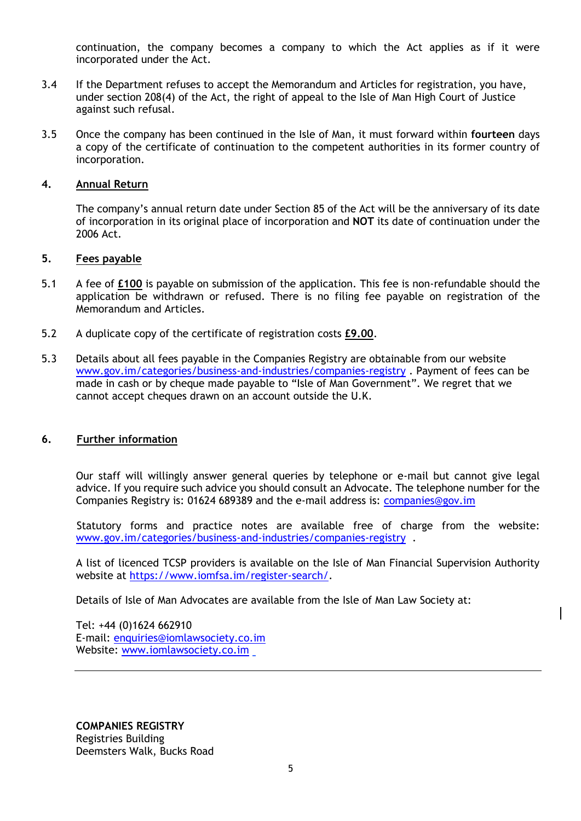continuation, the company becomes a company to which the Act applies as if it were incorporated under the Act.

- 3.4 If the Department refuses to accept the Memorandum and Articles for registration, you have, under section 208(4) of the Act, the right of appeal to the Isle of Man High Court of Justice against such refusal.
- 3.5 Once the company has been continued in the Isle of Man, it must forward within **fourteen** days a copy of the certificate of continuation to the competent authorities in its former country of incorporation.

#### **4. Annual Return**

The company's annual return date under Section 85 of the Act will be the anniversary of its date of incorporation in its original place of incorporation and **NOT** its date of continuation under the 2006 Act.

#### **5. Fees payable**

- 5.1 A fee of **£100** is payable on submission of the application. This fee is non-refundable should the application be withdrawn or refused. There is no filing fee payable on registration of the Memorandum and Articles.
- 5.2 A duplicate copy of the certificate of registration costs **£9.00**.
- 5.3 Details about all fees payable in the Companies Registry are obtainable from our website [www.gov.im/categories/business-and-industries/companies-registry](http://www.gov.im/categories/business-and-industries/companies-registry) . Payment of fees can be made in cash or by cheque made payable to "Isle of Man Government". We regret that we cannot accept cheques drawn on an account outside the U.K.

### **6. Further information**

Our staff will willingly answer general queries by telephone or e-mail but cannot give legal advice. If you require such advice you should consult an Advocate. The telephone number for the Companies Registry is: 01624 689389 and the e-mail address is: [companies@gov.im](mailto:companies.registry@gov.im)

Statutory forms and practice notes are available free of charge from the website: [www.gov.im/categories/business-and-industries/companies-registry](http://www.gov.im/categories/business-and-industries/companies-registry) .

A list of licenced TCSP providers is available on the Isle of Man Financial Supervision Authority website at [https://www.iomfsa.im/register-search/.](https://www.iomfsa.im/register-search/)

Details of Isle of Man Advocates are available from the Isle of Man Law Society at:

Tel: +44 (0)1624 662910 E-mail: [enquiries@iomlawsociety.co.im](mailto:enquiries@iomlawsociety.co.im) Website: [www.iomlawsociety.co.im](http://www.iomlawsociety.co.im/)

**COMPANIES REGISTRY** Registries Building Deemsters Walk, Bucks Road